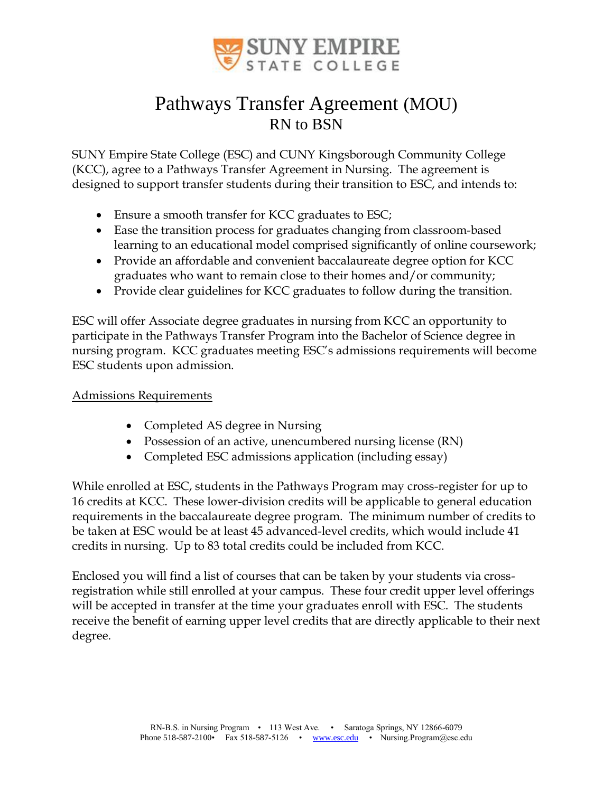

## Pathways Transfer Agreement (MOU) RN to BSN

SUNY Empire State College (ESC) and CUNY Kingsborough Community College (KCC), agree to a Pathways Transfer Agreement in Nursing. The agreement is designed to support transfer students during their transition to ESC, and intends to:

- Ensure a smooth transfer for KCC graduates to ESC;
- Ease the transition process for graduates changing from classroom-based learning to an educational model comprised significantly of online coursework;
- Provide an affordable and convenient baccalaureate degree option for KCC graduates who want to remain close to their homes and/or community;
- Provide clear guidelines for KCC graduates to follow during the transition.

ESC will offer Associate degree graduates in nursing from KCC an opportunity to participate in the Pathways Transfer Program into the Bachelor of Science degree in nursing program. KCC graduates meeting ESC's admissions requirements will become ESC students upon admission.

#### Admissions Requirements

- Completed AS degree in Nursing
- Possession of an active, unencumbered nursing license (RN)
- Completed ESC admissions application (including essay)

While enrolled at ESC, students in the Pathways Program may cross-register for up to 16 credits at KCC. These lower-division credits will be applicable to general education requirements in the baccalaureate degree program. The minimum number of credits to be taken at ESC would be at least 45 advanced-level credits, which would include 41 credits in nursing. Up to 83 total credits could be included from KCC.

Enclosed you will find a list of courses that can be taken by your students via crossregistration while still enrolled at your campus. These four credit upper level offerings will be accepted in transfer at the time your graduates enroll with ESC. The students receive the benefit of earning upper level credits that are directly applicable to their next degree.